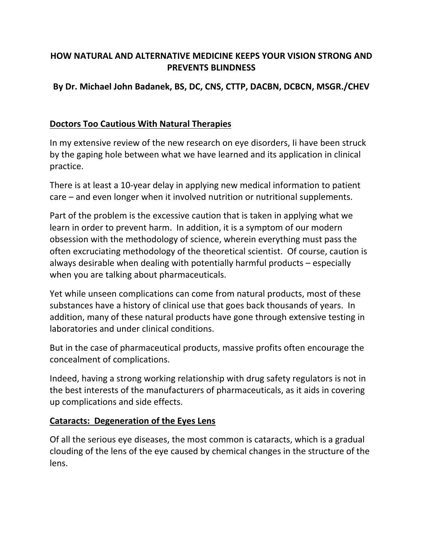# **HOW NATURAL AND ALTERNATIVE MEDICINE KEEPS YOUR VISION STRONG AND PREVENTS BLINDNESS**

# **By Dr. Michael John Badanek, BS, DC, CNS, CTTP, DACBN, DCBCN, MSGR./CHEV**

### **Doctors Too Cautious With Natural Therapies**

In my extensive review of the new research on eye disorders, Ii have been struck by the gaping hole between what we have learned and its application in clinical practice.

There is at least a 10‐year delay in applying new medical information to patient care – and even longer when it involved nutrition or nutritional supplements.

Part of the problem is the excessive caution that is taken in applying what we learn in order to prevent harm. In addition, it is a symptom of our modern obsession with the methodology of science, wherein everything must pass the often excruciating methodology of the theoretical scientist. Of course, caution is always desirable when dealing with potentially harmful products – especially when you are talking about pharmaceuticals.

Yet while unseen complications can come from natural products, most of these substances have a history of clinical use that goes back thousands of years. In addition, many of these natural products have gone through extensive testing in laboratories and under clinical conditions.

But in the case of pharmaceutical products, massive profits often encourage the concealment of complications.

Indeed, having a strong working relationship with drug safety regulators is not in the best interests of the manufacturers of pharmaceuticals, as it aids in covering up complications and side effects.

#### **Cataracts: Degeneration of the Eyes Lens**

Of all the serious eye diseases, the most common is cataracts, which is a gradual clouding of the lens of the eye caused by chemical changes in the structure of the lens.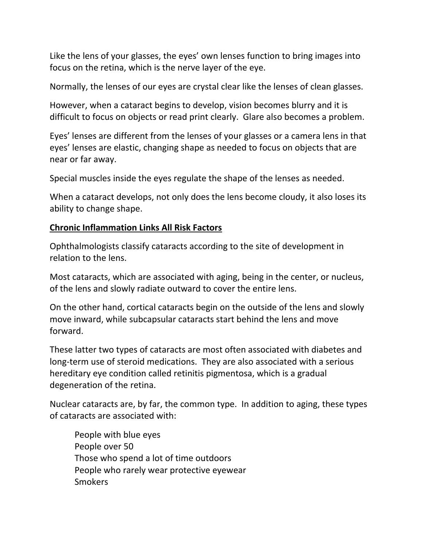Like the lens of your glasses, the eyes' own lenses function to bring images into focus on the retina, which is the nerve layer of the eye.

Normally, the lenses of our eyes are crystal clear like the lenses of clean glasses.

However, when a cataract begins to develop, vision becomes blurry and it is difficult to focus on objects or read print clearly. Glare also becomes a problem.

Eyes' lenses are different from the lenses of your glasses or a camera lens in that eyes' lenses are elastic, changing shape as needed to focus on objects that are near or far away.

Special muscles inside the eyes regulate the shape of the lenses as needed.

When a cataract develops, not only does the lens become cloudy, it also loses its ability to change shape.

## **Chronic Inflammation Links All Risk Factors**

Ophthalmologists classify cataracts according to the site of development in relation to the lens.

Most cataracts, which are associated with aging, being in the center, or nucleus, of the lens and slowly radiate outward to cover the entire lens.

On the other hand, cortical cataracts begin on the outside of the lens and slowly move inward, while subcapsular cataracts start behind the lens and move forward.

These latter two types of cataracts are most often associated with diabetes and long-term use of steroid medications. They are also associated with a serious hereditary eye condition called retinitis pigmentosa, which is a gradual degeneration of the retina.

Nuclear cataracts are, by far, the common type. In addition to aging, these types of cataracts are associated with:

 People with blue eyes People over 50 Those who spend a lot of time outdoors People who rarely wear protective eyewear **Smokers**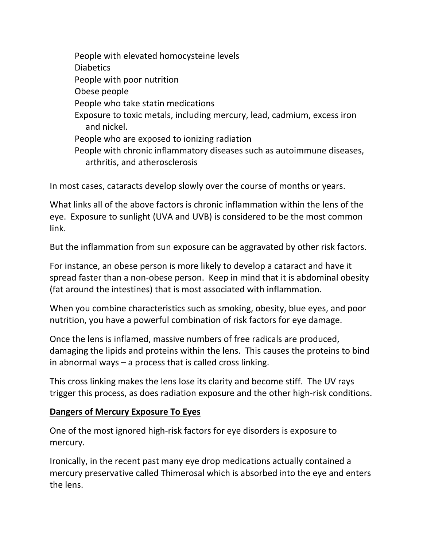People with elevated homocysteine levels Diabetics People with poor nutrition Obese people People who take statin medications Exposure to toxic metals, including mercury, lead, cadmium, excess iron and nickel. People who are exposed to ionizing radiation People with chronic inflammatory diseases such as autoimmune diseases, arthritis, and atherosclerosis

In most cases, cataracts develop slowly over the course of months or years.

What links all of the above factors is chronic inflammation within the lens of the eye. Exposure to sunlight (UVA and UVB) is considered to be the most common link.

But the inflammation from sun exposure can be aggravated by other risk factors.

For instance, an obese person is more likely to develop a cataract and have it spread faster than a non‐obese person. Keep in mind that it is abdominal obesity (fat around the intestines) that is most associated with inflammation.

When you combine characteristics such as smoking, obesity, blue eyes, and poor nutrition, you have a powerful combination of risk factors for eye damage.

Once the lens is inflamed, massive numbers of free radicals are produced, damaging the lipids and proteins within the lens. This causes the proteins to bind in abnormal ways – a process that is called cross linking.

This cross linking makes the lens lose its clarity and become stiff. The UV rays trigger this process, as does radiation exposure and the other high‐risk conditions.

## **Dangers of Mercury Exposure To Eyes**

One of the most ignored high‐risk factors for eye disorders is exposure to mercury.

Ironically, in the recent past many eye drop medications actually contained a mercury preservative called Thimerosal which is absorbed into the eye and enters the lens.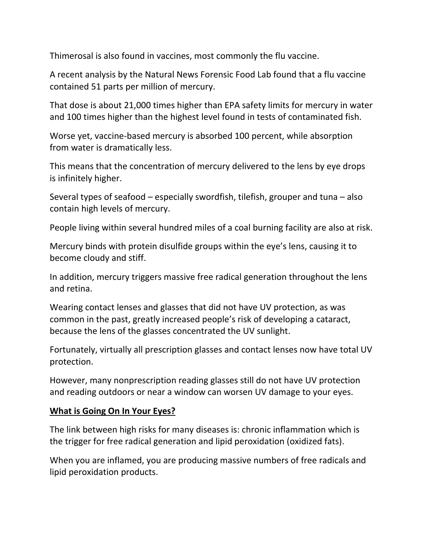Thimerosal is also found in vaccines, most commonly the flu vaccine.

A recent analysis by the Natural News Forensic Food Lab found that a flu vaccine contained 51 parts per million of mercury.

That dose is about 21,000 times higher than EPA safety limits for mercury in water and 100 times higher than the highest level found in tests of contaminated fish.

Worse yet, vaccine‐based mercury is absorbed 100 percent, while absorption from water is dramatically less.

This means that the concentration of mercury delivered to the lens by eye drops is infinitely higher.

Several types of seafood – especially swordfish, tilefish, grouper and tuna – also contain high levels of mercury.

People living within several hundred miles of a coal burning facility are also at risk.

Mercury binds with protein disulfide groups within the eye's lens, causing it to become cloudy and stiff.

In addition, mercury triggers massive free radical generation throughout the lens and retina.

Wearing contact lenses and glasses that did not have UV protection, as was common in the past, greatly increased people's risk of developing a cataract, because the lens of the glasses concentrated the UV sunlight.

Fortunately, virtually all prescription glasses and contact lenses now have total UV protection.

However, many nonprescription reading glasses still do not have UV protection and reading outdoors or near a window can worsen UV damage to your eyes.

## **What is Going On In Your Eyes?**

The link between high risks for many diseases is: chronic inflammation which is the trigger for free radical generation and lipid peroxidation (oxidized fats).

When you are inflamed, you are producing massive numbers of free radicals and lipid peroxidation products.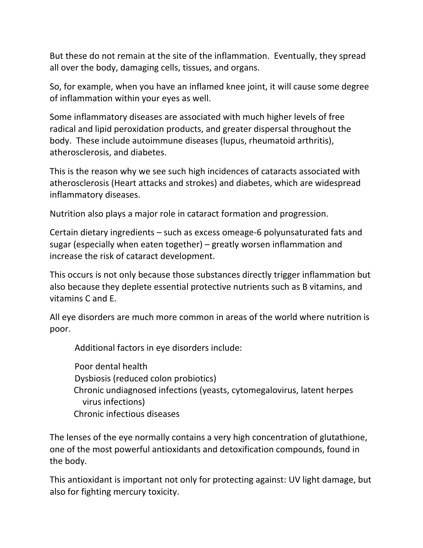But these do not remain at the site of the inflammation. Eventually, they spread all over the body, damaging cells, tissues, and organs.

So, for example, when you have an inflamed knee joint, it will cause some degree of inflammation within your eyes as well.

Some inflammatory diseases are associated with much higher levels of free radical and lipid peroxidation products, and greater dispersal throughout the body. These include autoimmune diseases (lupus, rheumatoid arthritis), atherosclerosis, and diabetes.

This is the reason why we see such high incidences of cataracts associated with atherosclerosis (Heart attacks and strokes) and diabetes, which are widespread inflammatory diseases.

Nutrition also plays a major role in cataract formation and progression.

Certain dietary ingredients – such as excess omeage‐6 polyunsaturated fats and sugar (especially when eaten together) – greatly worsen inflammation and increase the risk of cataract development.

This occurs is not only because those substances directly trigger inflammation but also because they deplete essential protective nutrients such as B vitamins, and vitamins C and E.

All eye disorders are much more common in areas of the world where nutrition is poor.

Additional factors in eye disorders include:

 Poor dental health Dysbiosis (reduced colon probiotics) Chronic undiagnosed infections (yeasts, cytomegalovirus, latent herpes virus infections) Chronic infectious diseases

The lenses of the eye normally contains a very high concentration of glutathione, one of the most powerful antioxidants and detoxification compounds, found in the body.

This antioxidant is important not only for protecting against: UV light damage, but also for fighting mercury toxicity.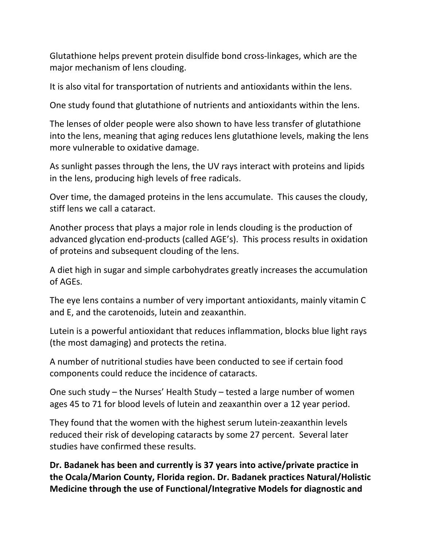Glutathione helps prevent protein disulfide bond cross‐linkages, which are the major mechanism of lens clouding.

It is also vital for transportation of nutrients and antioxidants within the lens.

One study found that glutathione of nutrients and antioxidants within the lens.

The lenses of older people were also shown to have less transfer of glutathione into the lens, meaning that aging reduces lens glutathione levels, making the lens more vulnerable to oxidative damage.

As sunlight passes through the lens, the UV rays interact with proteins and lipids in the lens, producing high levels of free radicals.

Over time, the damaged proteins in the lens accumulate. This causes the cloudy, stiff lens we call a cataract.

Another process that plays a major role in lends clouding is the production of advanced glycation end‐products (called AGE's). This process results in oxidation of proteins and subsequent clouding of the lens.

A diet high in sugar and simple carbohydrates greatly increases the accumulation of AGEs.

The eye lens contains a number of very important antioxidants, mainly vitamin C and E, and the carotenoids, lutein and zeaxanthin.

Lutein is a powerful antioxidant that reduces inflammation, blocks blue light rays (the most damaging) and protects the retina.

A number of nutritional studies have been conducted to see if certain food components could reduce the incidence of cataracts.

One such study – the Nurses' Health Study – tested a large number of women ages 45 to 71 for blood levels of lutein and zeaxanthin over a 12 year period.

They found that the women with the highest serum lutein‐zeaxanthin levels reduced their risk of developing cataracts by some 27 percent. Several later studies have confirmed these results.

**Dr. Badanek has been and currently is 37 years into active/private practice in the Ocala/Marion County, Florida region. Dr. Badanek practices Natural/Holistic Medicine through the use of Functional/Integrative Models for diagnostic and**